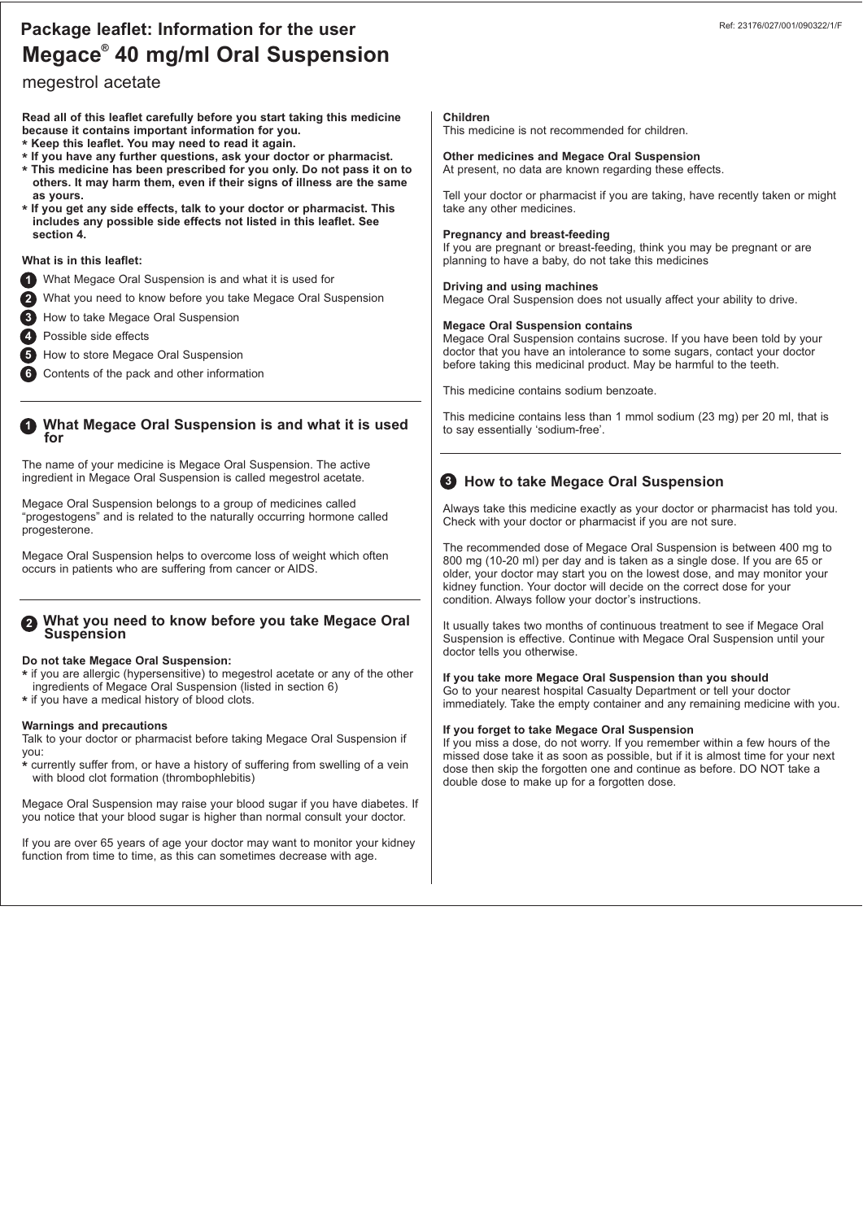## **Megace<sup>®</sup> 40 mg/ml Oral Suspension Package leaflet: Information for the user**

### megestrol acetate

**Read all of this leaflet carefully before you start taking this medicine because it contains important information for you.** 

- **\* Keep this leaflet. You may need to read it again.**
- **\* If you have any further questions, ask your doctor or pharmacist.**
- **\* This medicine has been prescribed for you only. Do not pass it on to others. It may harm them, even if their signs of illness are the same as yours.**
- **\* If you get any side effects, talk to your doctor or pharmacist. This includes any possible side effects not listed in this leaflet. See section 4.**

#### **What is in this leaflet:**

- **1** What Megace Oral Suspension is and what it is used for
- What you need to know before you take Megace Oral Suspension **2**
- How to take Megace Oral Suspension **3**
- Possible side effects **4**
- How to store Megace Oral Suspension **5**
- Contents of the pack and other information **6**

# **What Megace Oral Suspension is and what it is used for 1**

The name of your medicine is Megace Oral Suspension. The active ingredient in Megace Oral Suspension is called megestrol acetate.

Megace Oral Suspension belongs to a group of medicines called "progestogens" and is related to the naturally occurring hormone called progesterone.

Megace Oral Suspension helps to overcome loss of weight which often occurs in patients who are suffering from cancer or AIDS.

#### **What you need to know before you take Megace Oral Suspension 2**

#### **Do not take Megace Oral Suspension:**

- **\*** if you are allergic (hypersensitive) to megestrol acetate or any of the other
- ingredients of Megace Oral Suspension (listed in section 6)
- **\*** if you have a medical history of blood clots.

#### **Warnings and precautions**

Talk to your doctor or pharmacist before taking Megace Oral Suspension if you:

**\*** currently suffer from, or have a history of suffering from swelling of a vein with blood clot formation (thrombophlebitis)

Megace Oral Suspension may raise your blood sugar if you have diabetes. If you notice that your blood sugar is higher than normal consult your doctor.

If you are over 65 years of age your doctor may want to monitor your kidney function from time to time, as this can sometimes decrease with age.

#### **Children**

This medicine is not recommended for children.

**Other medicines and Megace Oral Suspension** At present, no data are known regarding these effects.

Tell your doctor or pharmacist if you are taking, have recently taken or might take any other medicines.

#### **Pregnancy and breast-feeding**

If you are pregnant or breast-feeding, think you may be pregnant or are planning to have a baby, do not take this medicines

#### **Driving and using machines**

Megace Oral Suspension does not usually affect your ability to drive.

#### **Megace Oral Suspension contains**

Megace Oral Suspension contains sucrose. If you have been told by your doctor that you have an intolerance to some sugars, contact your doctor before taking this medicinal product. May be harmful to the teeth.

This medicine contains sodium benzoate.

This medicine contains less than 1 mmol sodium (23 mg) per 20 ml, that is to say essentially 'sodium-free'.

### **How to take Megace Oral Suspension 3**

Always take this medicine exactly as your doctor or pharmacist has told you. Check with your doctor or pharmacist if you are not sure.

The recommended dose of Megace Oral Suspension is between 400 mg to 800 mg (10-20 ml) per day and is taken as a single dose. If you are 65 or older, your doctor may start you on the lowest dose, and may monitor your kidney function. Your doctor will decide on the correct dose for your condition. Always follow your doctor's instructions.

It usually takes two months of continuous treatment to see if Megace Oral Suspension is effective. Continue with Megace Oral Suspension until your doctor tells you otherwise.

#### **If you take more Megace Oral Suspension than you should**

Go to your nearest hospital Casualty Department or tell your doctor immediately. Take the empty container and any remaining medicine with you.

#### **If you forget to take Megace Oral Suspension**

If you miss a dose, do not worry. If you remember within a few hours of the missed dose take it as soon as possible, but if it is almost time for your next dose then skip the forgotten one and continue as before. DO NOT take a double dose to make up for a forgotten dose.